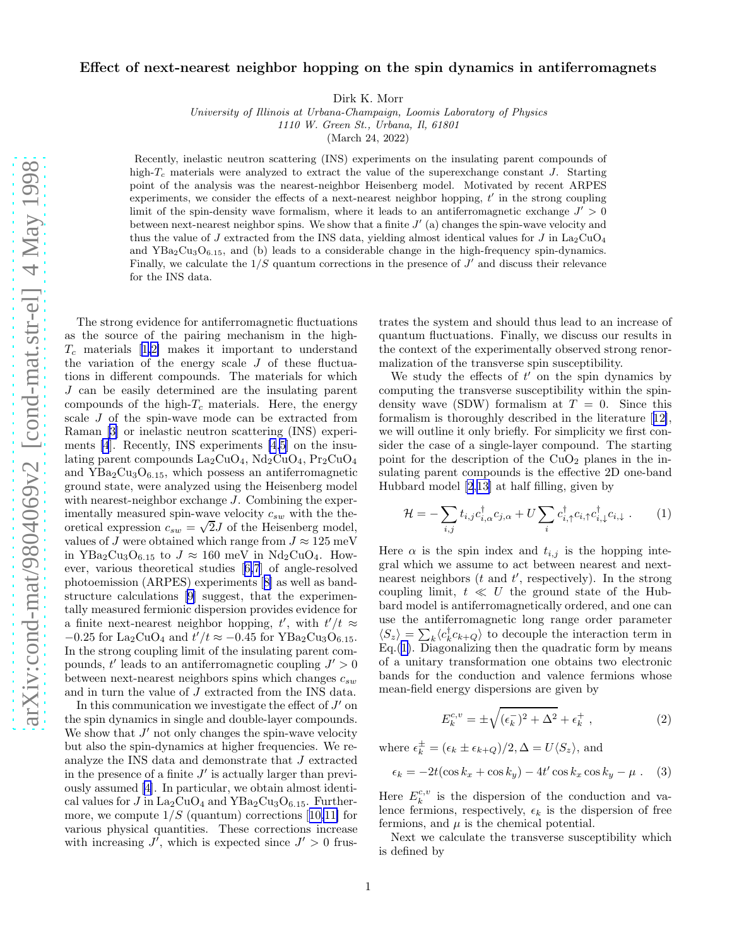## <span id="page-0-0"></span>Effect of next-nearest neighbor hopping on the spin dynamics in antiferromagnets

Dirk K. Morr

University of Illinois at Urbana-Champaign, Loomis Laboratory of Physics 1110 W. Green St., Urbana, Il, 61801

(March 24, 2022)

Recently, inelastic neutron scattering (INS) experiments on the insulating parent compounds of high- $T_c$  materials were analyzed to extract the value of the superexchange constant J. Starting point of the analysis was the nearest-neighbor Heisenberg model. Motivated by recent ARPES experiments, we consider the effects of a next-nearest neighbor hopping,  $t'$  in the strong coupling limit of the spin-density wave formalism, where it leads to an antiferromagnetic exchange  $J' > 0$ between next-nearest neighbor spins. We show that a finite  $J'$  (a) changes the spin-wave velocity and thus the value of J extracted from the INS data, yielding almost identical values for J in  $\text{La}_2\text{CuO}_4$ and  $YBa<sub>2</sub>Cu<sub>3</sub>O<sub>6.15</sub>$ , and (b) leads to a considerable change in the high-frequency spin-dynamics. Finally, we calculate the  $1/S$  quantum corrections in the presence of  $J'$  and discuss their relevance for the INS data.

The strong evidence for antiferromagnetic fluctuations as the source of the pairing mechanism in the high- $T_c$ materials [[1,2\]](#page-3-0) makes it important to understand the variation of the energy scale  $J$  of these fluctuations in different compounds. The materials for which J can be easily determined are the insulating parent compounds of the high- $T_c$  materials. Here, the energy scale J of the spin-wave mode can be extracted from Raman[[3\]](#page-3-0) or inelastic neutron scattering (INS) experiments [\[4](#page-3-0)]. Recently, INS experiments [\[4,5](#page-3-0)] on the insulating parent compounds  $La_2CuO_4$ ,  $Nd_2CuO_4$ ,  $Pr_2CuO_4$ and  $YBa<sub>2</sub>Cu<sub>3</sub>O<sub>6.15</sub>$ , which possess an antiferromagnetic ground state, were analyzed using the Heisenberg model with nearest-neighbor exchange J. Combining the experimentally measured spin-wave velocity  $c_{sw}$  with the theoretical expression  $c_{sw} = \sqrt{2}J$  of the Heisenberg model, values of J were obtained which range from  $J \approx 125$  meV in YBa<sub>2</sub>Cu<sub>3</sub>O<sub>6.15</sub> to  $J \approx 160$  meV in Nd<sub>2</sub>CuO<sub>4</sub>. However, various theoretical studies[[6,7](#page-3-0)] of angle-resolved photoemission (ARPES) experiments[[8\]](#page-3-0) as well as bandstructure calculations[[9\]](#page-3-0) suggest, that the experimentally measured fermionic dispersion provides evidence for a finite next-nearest neighbor hopping,  $t'$ , with  $t'/t \approx$  $-0.25$  for La<sub>2</sub>CuO<sub>4</sub> and  $t'/t \approx -0.45$  for YBa<sub>2</sub>Cu<sub>3</sub>O<sub>6.15</sub>. In the strong coupling limit of the insulating parent compounds,  $t'$  leads to an antiferromagnetic coupling  $J' > 0$ between next-nearest neighbors spins which changes  $c_{sw}$ and in turn the value of J extracted from the INS data.

In this communication we investigate the effect of  $J'$  on the spin dynamics in single and double-layer compounds. We show that  $J'$  not only changes the spin-wave velocity but also the spin-dynamics at higher frequencies. We reanalyze the INS data and demonstrate that J extracted in the presence of a finite  $J'$  is actually larger than previously assumed[[4\]](#page-3-0). In particular, we obtain almost identical values for J in  $\text{La}_2\text{CuO}_4$  and  $\text{YBa}_2\text{Cu}_3\text{O}_{6.15}$ . Furthermore,we compute  $1/S$  (quantum) corrections [[10,11\]](#page-3-0) for various physical quantities. These corrections increase with increasing  $J'$ , which is expected since  $J' > 0$  frus-

trates the system and should thus lead to an increase of quantum fluctuations. Finally, we discuss our results in the context of the experimentally observed strong renormalization of the transverse spin susceptibility.

We study the effects of  $t'$  on the spin dynamics by computing the transverse susceptibility within the spindensity wave (SDW) formalism at  $T = 0$ . Since this formalism is thoroughly described in the literature[[12\]](#page-3-0), we will outline it only briefly. For simplicity we first consider the case of a single-layer compound. The starting point for the description of the  $CuO<sub>2</sub>$  planes in the insulating parent compounds is the effective 2D one-band Hubbard model [\[2](#page-3-0),[13](#page-3-0)] at half filling, given by

$$
\mathcal{H} = -\sum_{i,j} t_{i,j} c_{i,\alpha}^{\dagger} c_{j,\alpha} + U \sum_i c_{i,\uparrow}^{\dagger} c_{i,\uparrow} c_{i,\downarrow}^{\dagger} c_{i,\downarrow} \ . \tag{1}
$$

Here  $\alpha$  is the spin index and  $t_{i,j}$  is the hopping integral which we assume to act between nearest and nextnearest neighbors  $(t \text{ and } t'$ , respectively). In the strong coupling limit,  $t \ll U$  the ground state of the Hubbard model is antiferromagnetically ordered, and one can use the antiferromagnetic long range order parameter  $\langle S_z \rangle = \sum_k \langle c_k^{\dagger} c_{k+Q} \rangle$  to decouple the interaction term in Eq.(1). Diagonalizing then the quadratic form by means of a unitary transformation one obtains two electronic bands for the conduction and valence fermions whose mean-field energy dispersions are given by

$$
E_k^{c,v} = \pm \sqrt{(\epsilon_k^-)^2 + \Delta^2} + \epsilon_k^+ \,, \tag{2}
$$

where  $\epsilon_k^{\pm} = (\epsilon_k \pm \epsilon_{k+Q})/2, \Delta = U \langle S_z \rangle$ , and  $\epsilon_k = -2t(\cos k_x + \cos k_y) - 4t' \cos k_x \cos k_y - \mu$ . (3)

Here  $E_k^{c,v}$  is the dispersion of the conduction and valence fermions, respectively,  $\epsilon_k$  is the dispersion of free fermions, and  $\mu$  is the chemical potential.

Next we calculate the transverse susceptibility which is defined by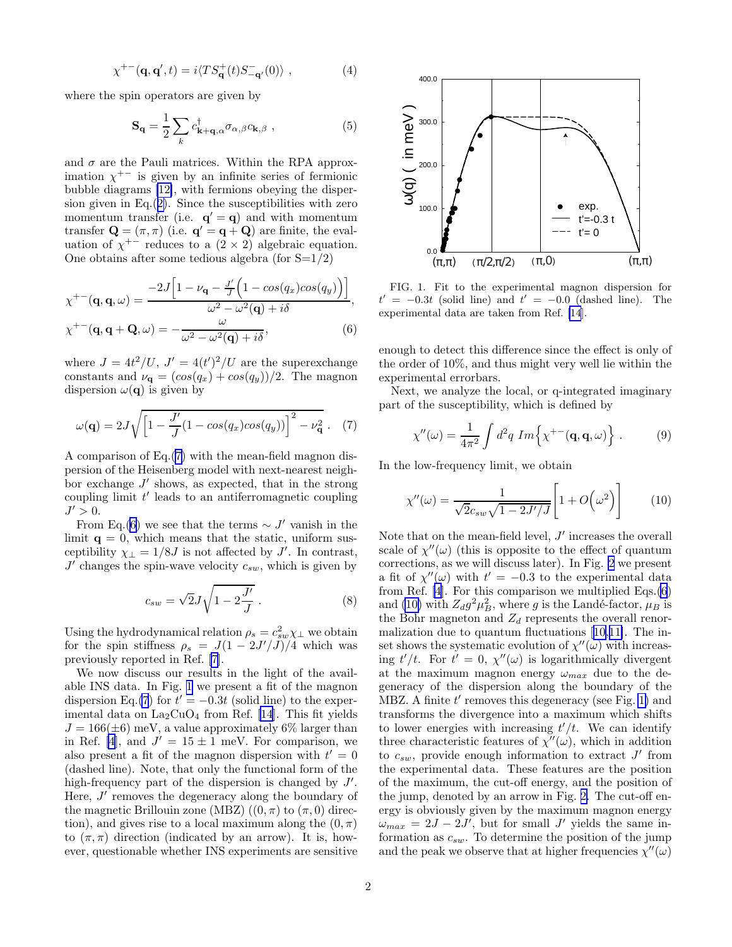$$
\chi^{+-}(\mathbf{q}, \mathbf{q}', t) = i \langle TS_{\mathbf{q}}^{+}(t)S_{-\mathbf{q}'}^{-}(0) \rangle , \qquad (4)
$$

<span id="page-1-0"></span>where the spin operators are given by

$$
\mathbf{S}_{\mathbf{q}} = \frac{1}{2} \sum_{k} c_{\mathbf{k} + \mathbf{q}, \alpha}^{\dagger} \sigma_{\alpha, \beta} c_{\mathbf{k}, \beta} , \qquad (5)
$$

and  $\sigma$  are the Pauli matrices. Within the RPA approximation  $\chi^{+-}$  is given by an infinite series of fermionic bubble diagrams [\[12\]](#page-3-0), with fermions obeying the dispersion given in  $Eq.(2)$  $Eq.(2)$ . Since the susceptibilities with zero momentum transfer (i.e.  $\mathbf{q}' = \mathbf{q}$ ) and with momentum transfer  $\mathbf{Q} = (\pi, \pi)$  (i.e.  $\mathbf{q}' = \mathbf{q} + \mathbf{Q}$ ) are finite, the evaluation of  $\chi^{+-}$  reduces to a  $(2 \times 2)$  algebraic equation. One obtains after some tedious algebra (for  $S=1/2$ )

$$
\chi^{+-}(\mathbf{q}, \mathbf{q}, \omega) = \frac{-2J\left[1 - \nu_{\mathbf{q}} - \frac{J'}{J}\left(1 - \cos(q_x)\cos(q_y)\right)\right]}{\omega^2 - \omega^2(\mathbf{q}) + i\delta},
$$
  

$$
\chi^{+-}(\mathbf{q}, \mathbf{q} + \mathbf{Q}, \omega) = -\frac{\omega}{\omega^2 - \omega^2(\mathbf{q}) + i\delta},
$$
(6)

where  $J = 4t^2/U$ ,  $J' = 4(t')^2/U$  are the superexchange constants and  $\nu_{q} = (cos(q_x) + cos(q_y))/2$ . The magnon dispersion  $\omega(\mathbf{q})$  is given by

$$
\omega(\mathbf{q}) = 2J\sqrt{\left[1 - \frac{J'}{J}(1 - \cos(q_x)\cos(q_y))\right]^2 - \nu_\mathbf{q}^2} \,. \tag{7}
$$

A comparison of Eq.(7) with the mean-field magnon dispersion of the Heisenberg model with next-nearest neighbor exchange  $J'$  shows, as expected, that in the strong coupling limit  $t'$  leads to an antiferromagnetic coupling  $J' > 0.$ 

From Eq.(6) we see that the terms  $\sim J'$  vanish in the limit  $q = 0$ , which means that the static, uniform susceptibility  $\chi_{\perp} = 1/8J$  is not affected by J'. In contrast,  $J'$  changes the spin-wave velocity  $c_{sw}$ , which is given by

$$
c_{sw} = \sqrt{2}J\sqrt{1 - 2\frac{J'}{J}}.
$$
\n(8)

Using the hydrodynamical relation  $\rho_s = c_{sw}^2 \chi_{\perp}$  we obtain for the spin stiffness  $\rho_s = J(1 - 2J'/J)/4$  which was previously reported in Ref. [\[7](#page-3-0)].

We now discuss our results in the light of the available INS data. In Fig. 1 we present a fit of the magnon dispersion Eq.(7) for  $t' = -0.3t$  (solid line) to the experimental data on  $\text{La}_2\text{CuO}_4$  from Ref. [\[14](#page-3-0)]. This fit yields  $J = 166(\pm 6)$  meV, a value approximately 6% larger than in Ref. [\[4](#page-3-0)], and  $J' = 15 \pm 1$  meV. For comparison, we also present a fit of the magnon dispersion with  $t' = 0$ (dashed line). Note, that only the functional form of the high-frequency part of the dispersion is changed by  $J'$ . Here,  $J'$  removes the degeneracy along the boundary of the magnetic Brillouin zone (MBZ)  $((0, \pi)$  to  $(\pi, 0)$  direction), and gives rise to a local maximum along the  $(0, \pi)$ to  $(\pi, \pi)$  direction (indicated by an arrow). It is, however, questionable whether INS experiments are sensitive



FIG. 1. Fit to the experimental magnon dispersion for  $t' = -0.3t$  (solid line) and  $t' = -0.0$  (dashed line). The experimental data are taken from Ref. [\[14](#page-3-0)].

enough to detect this difference since the effect is only of the order of 10%, and thus might very well lie within the experimental errorbars.

Next, we analyze the local, or q-integrated imaginary part of the susceptibility, which is defined by

$$
\chi''(\omega) = \frac{1}{4\pi^2} \int d^2q \ Im\left\{\chi^{+-}(\mathbf{q}, \mathbf{q}, \omega)\right\} \,. \tag{9}
$$

In the low-frequency limit, we obtain

$$
\chi''(\omega) = \frac{1}{\sqrt{2}c_{sw}\sqrt{1 - 2J'/J}} \left[1 + O\!\left(\omega^2\right)\right] \tag{10}
$$

Note that on the mean-field level,  $J'$  increases the overall scale of  $\chi''(\omega)$  (this is opposite to the effect of quantum corrections, as we will discuss later). In Fig. [2](#page-2-0) we present a fit of  $\chi''(\omega)$  with  $t' = -0.3$  to the experimental data from Ref. [\[4](#page-3-0)]. For this comparison we multiplied Eqs.(6) and (10) with  $Z_d g^2 \mu_B^2$ , where g is the Landé-factor,  $\mu_B$  is the Bohr magneton and  $Z_d$  represents the overall renormalization due to quantum fluctuations[[10,11\]](#page-3-0). The inset shows the systematic evolution of  $\chi''(\omega)$  with increasing  $t'/t$ . For  $t' = 0$ ,  $\chi''(\omega)$  is logarithmically divergent at the maximum magnon energy  $\omega_{max}$  due to the degeneracy of the dispersion along the boundary of the MBZ. A finite  $t'$  removes this degeneracy (see Fig. 1) and transforms the divergence into a maximum which shifts to lower energies with increasing  $t'/t$ . We can identify three characteristic features of  $\chi''(\omega)$ , which in addition to  $c_{sw}$ , provide enough information to extract  $J'$  from the experimental data. These features are the position of the maximum, the cut-off energy, and the position of the jump, denoted by an arrow in Fig. [2.](#page-2-0) The cut-off energy is obviously given by the maximum magnon energy  $\omega_{max} = 2J - 2J'$ , but for small J' yields the same information as  $c_{sw}$ . To determine the position of the jump and the peak we observe that at higher frequencies  $\chi''(\omega)$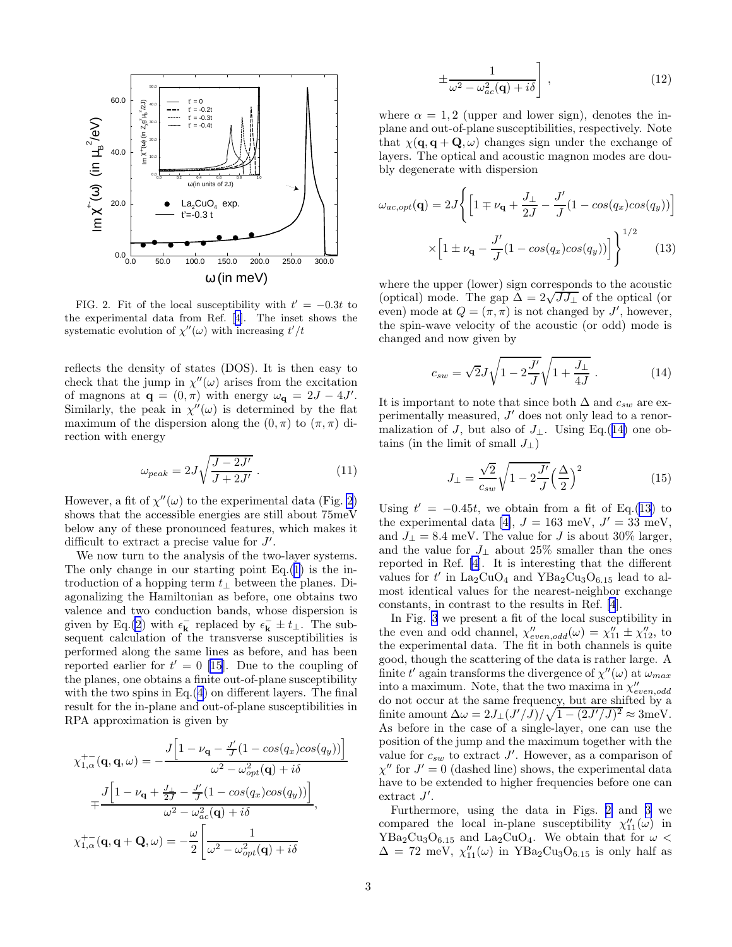<span id="page-2-0"></span>

FIG. 2. Fit of the local susceptibility with  $t' = -0.3t$  to the experimental data from Ref.[[4](#page-3-0)]. The inset shows the systematic evolution of  $\chi''(\omega)$  with increasing  $t'/t$ 

reflects the density of states (DOS). It is then easy to check that the jump in  $\chi''(\omega)$  arises from the excitation of magnons at  $\mathbf{q} = (0, \pi)$  with energy  $\omega_{\mathbf{q}} = 2J - 4J'$ . Similarly, the peak in  $\chi''(\omega)$  is determined by the flat maximum of the dispersion along the  $(0, \pi)$  to  $(\pi, \pi)$  direction with energy

$$
\omega_{peak} = 2J\sqrt{\frac{J - 2J'}{J + 2J'}} \ . \tag{11}
$$

However, a fit of  $\chi''(\omega)$  to the experimental data (Fig. 2) shows that the accessible energies are still about 75meV below any of these pronounced features, which makes it difficult to extract a precise value for  $J'$ .

We now turn to the analysis of the two-layer systems. The only change in our starting point  $Eq.(1)$  $Eq.(1)$  is the introduction of a hopping term  $t_{\perp}$  between the planes. Diagonalizing the Hamiltonian as before, one obtains two valence and two conduction bands, whose dispersion is given by Eq.[\(2](#page-0-0)) with  $\epsilon_{\mathbf{k}}^-$  replaced by  $\epsilon_{\mathbf{k}}^- \pm t_\perp$ . The subsequent calculation of the transverse susceptibilities is performed along the same lines as before, and has been reportedearlier for  $t' = 0$  [[15\]](#page-3-0). Due to the coupling of the planes, one obtains a finite out-of-plane susceptibility with the two spins in Eq.[\(4](#page-1-0)) on different layers. The final result for the in-plane and out-of-plane susceptibilities in RPA approximation is given by

$$
\chi_{1,\alpha}^{+-}(\mathbf{q}, \mathbf{q}, \omega) = -\frac{J\left[1 - \nu_{\mathbf{q}} - \frac{J'}{J}(1 - \cos(q_x)\cos(q_y))\right]}{\omega^2 - \omega_{opt}^2(\mathbf{q}) + i\delta}
$$

$$
+ \frac{J\left[1 - \nu_{\mathbf{q}} + \frac{J_1}{2J} - \frac{J'}{J}(1 - \cos(q_x)\cos(q_y))\right]}{\omega^2 - \omega_{ac}^2(\mathbf{q}) + i\delta},
$$

$$
\chi_{1,\alpha}^{+-}(\mathbf{q}, \mathbf{q} + \mathbf{Q}, \omega) = -\frac{\omega}{2} \left[\frac{1}{\omega^2 - \omega_{opt}^2(\mathbf{q}) + i\delta}\right]
$$

$$
\pm \frac{1}{\omega^2 - \omega_{ac}^2(\mathbf{q}) + i\delta} \Bigg] , \qquad (12)
$$

where  $\alpha = 1, 2$  (upper and lower sign), denotes the inplane and out-of-plane susceptibilities, respectively. Note that  $\chi(\mathbf{q}, \mathbf{q} + \mathbf{Q}, \omega)$  changes sign under the exchange of layers. The optical and acoustic magnon modes are doubly degenerate with dispersion

$$
\omega_{ac,opt}(\mathbf{q}) = 2J \left\{ \left[ 1 \mp \nu_{\mathbf{q}} + \frac{J_{\perp}}{2J} - \frac{J'}{J} (1 - \cos(q_x)\cos(q_y)) \right] \times \left[ 1 \pm \nu_{\mathbf{q}} - \frac{J'}{J} (1 - \cos(q_x)\cos(q_y)) \right] \right\}^{1/2}
$$
\n(13)

where the upper (lower) sign corresponds to the acoustic (optical) mode. The gap  $\Delta = 2\sqrt{J J_{\perp}}$  of the optical (or even) mode at  $Q = (\pi, \pi)$  is not changed by J', however, the spin-wave velocity of the acoustic (or odd) mode is changed and now given by

$$
c_{sw} = \sqrt{2}J\sqrt{1 - 2\frac{J'}{J}}\sqrt{1 + \frac{J_{\perp}}{4J}}.
$$
 (14)

It is important to note that since both  $\Delta$  and  $c_{sw}$  are experimentally measured,  $J'$  does not only lead to a renormalization of J, but also of  $J_{\perp}$ . Using Eq.(14) one obtains (in the limit of small  $J_{\perp}$ )

$$
J_{\perp} = \frac{\sqrt{2}}{c_{sw}} \sqrt{1 - 2\frac{J'}{J}} \left(\frac{\Delta}{2}\right)^2 \tag{15}
$$

Using  $t' = -0.45t$ , we obtain from a fit of Eq.(13) to the experimental data [\[4\]](#page-3-0),  $J = 163$  meV,  $J' = 33$  meV, and  $J_{\perp} = 8.4$  meV. The value for J is about 30% larger, and the value for  $J_{\perp}$  about 25% smaller than the ones reported in Ref. [\[4](#page-3-0)]. It is interesting that the different values for  $t'$  in  $\text{La}_2\text{CuO}_4$  and  $\text{YBa}_2\text{Cu}_3\text{O}_{6.15}$  lead to almost identical values for the nearest-neighbor exchange constants, in contrast to the results in Ref. [\[4](#page-3-0)].

In Fig. [3](#page-3-0) we present a fit of the local susceptibility in the even and odd channel,  $\chi''_{even,odd}(\omega) = \chi''_{11} \pm \chi''_{12}$ , to the experimental data. The fit in both channels is quite good, though the scattering of the data is rather large. A finite  $t'$  again transforms the divergence of  $\chi''(\omega)$  at  $\omega_{max}$ into a maximum. Note, that the two maxima in  $\chi''_{even,odd}$ do not occur at the same frequency, but are shifted by a finite amount  $\Delta \omega = 2J_{\perp}(J'/J)/\sqrt{1-(2J'/J)^2} \approx 3$ meV. As before in the case of a single-layer, one can use the position of the jump and the maximum together with the value for  $c_{sw}$  to extract J'. However, as a comparison of  $\chi''$  for  $J' = 0$  (dashed line) shows, the experimental data have to be extended to higher frequencies before one can  $extract J'.$ 

Furthermore, using the data in Figs. 2 and [3](#page-3-0) we compared the local in-plane susceptibility  $\chi''_{11}(\omega)$  in  $YBa<sub>2</sub>Cu<sub>3</sub>O<sub>6.15</sub>$  and La<sub>2</sub>CuO<sub>4</sub>. We obtain that for  $\omega <$  $\Delta = 72$  meV,  $\chi''_{11}(\omega)$  in YBa<sub>2</sub>Cu<sub>3</sub>O<sub>6.15</sub> is only half as